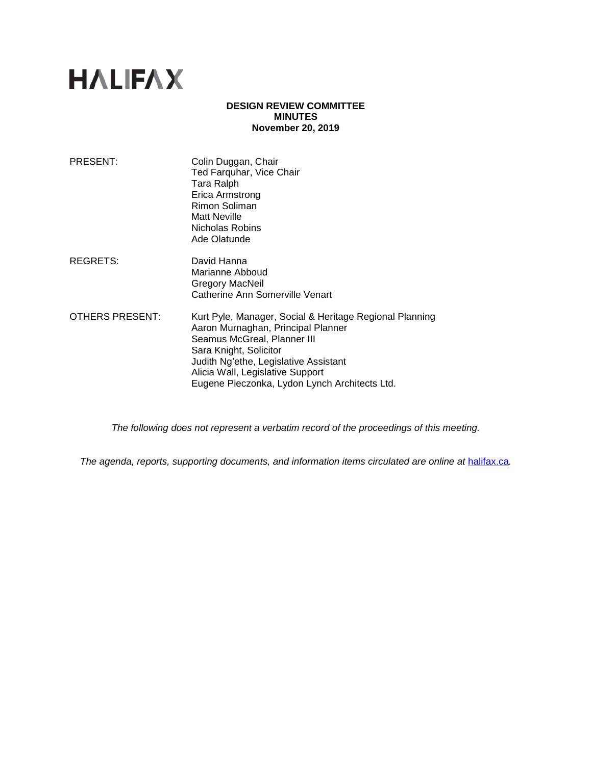# **HALIFAX**

## **DESIGN REVIEW COMMITTEE MINUTES November 20, 2019**

| PRESENT:        | Colin Duggan, Chair<br>Ted Farquhar, Vice Chair<br>Tara Ralph<br>Erica Armstrong<br>Rimon Soliman<br><b>Matt Neville</b><br>Nicholas Robins<br>Ade Olatunde                                                                                                                          |
|-----------------|--------------------------------------------------------------------------------------------------------------------------------------------------------------------------------------------------------------------------------------------------------------------------------------|
| REGRETS:        | David Hanna<br>Marianne Abboud<br>Gregory MacNeil<br>Catherine Ann Somerville Venart                                                                                                                                                                                                 |
| OTHERS PRESENT: | Kurt Pyle, Manager, Social & Heritage Regional Planning<br>Aaron Murnaghan, Principal Planner<br>Seamus McGreal, Planner III<br>Sara Knight, Solicitor<br>Judith Ng'ethe, Legislative Assistant<br>Alicia Wall, Legislative Support<br>Eugene Pieczonka, Lydon Lynch Architects Ltd. |

*The following does not represent a verbatim record of the proceedings of this meeting.*

*The agenda, reports, supporting documents, and information items circulated are online at [halifax.ca](http://www.halifax.ca/).*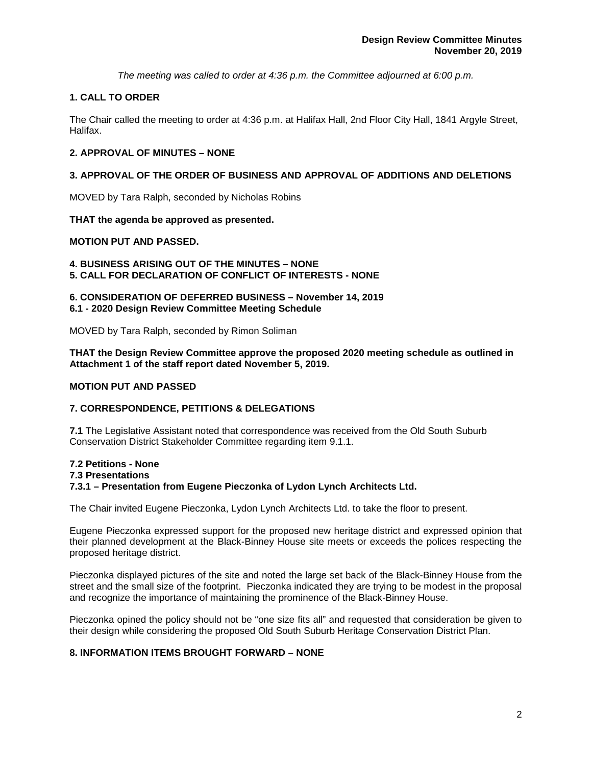*The meeting was called to order at 4:36 p.m. the Committee adjourned at 6:00 p.m.*

## **1. CALL TO ORDER**

The Chair called the meeting to order at 4:36 p.m. at Halifax Hall, 2nd Floor City Hall, 1841 Argyle Street, Halifax.

## **2. APPROVAL OF MINUTES – NONE**

## **3. APPROVAL OF THE ORDER OF BUSINESS AND APPROVAL OF ADDITIONS AND DELETIONS**

MOVED by Tara Ralph, seconded by Nicholas Robins

## **THAT the agenda be approved as presented.**

## **MOTION PUT AND PASSED.**

**4. BUSINESS ARISING OUT OF THE MINUTES – NONE 5. CALL FOR DECLARATION OF CONFLICT OF INTERESTS - NONE**

## **6. CONSIDERATION OF DEFERRED BUSINESS – November 14, 2019 6.1 - 2020 Design Review Committee Meeting Schedule**

MOVED by Tara Ralph, seconded by Rimon Soliman

#### **THAT the Design Review Committee approve the proposed 2020 meeting schedule as outlined in Attachment 1 of the staff report dated November 5, 2019.**

## **MOTION PUT AND PASSED**

## **7. CORRESPONDENCE, PETITIONS & DELEGATIONS**

**7.1** The Legislative Assistant noted that correspondence was received from the Old South Suburb Conservation District Stakeholder Committee regarding item 9.1.1.

#### **7.2 Petitions - None**

#### **7.3 Presentations**

#### **7.3.1 – Presentation from Eugene Pieczonka of Lydon Lynch Architects Ltd.**

The Chair invited Eugene Pieczonka, Lydon Lynch Architects Ltd. to take the floor to present.

Eugene Pieczonka expressed support for the proposed new heritage district and expressed opinion that their planned development at the Black-Binney House site meets or exceeds the polices respecting the proposed heritage district.

Pieczonka displayed pictures of the site and noted the large set back of the Black-Binney House from the street and the small size of the footprint. Pieczonka indicated they are trying to be modest in the proposal and recognize the importance of maintaining the prominence of the Black-Binney House.

Pieczonka opined the policy should not be "one size fits all" and requested that consideration be given to their design while considering the proposed Old South Suburb Heritage Conservation District Plan.

## **8. INFORMATION ITEMS BROUGHT FORWARD – NONE**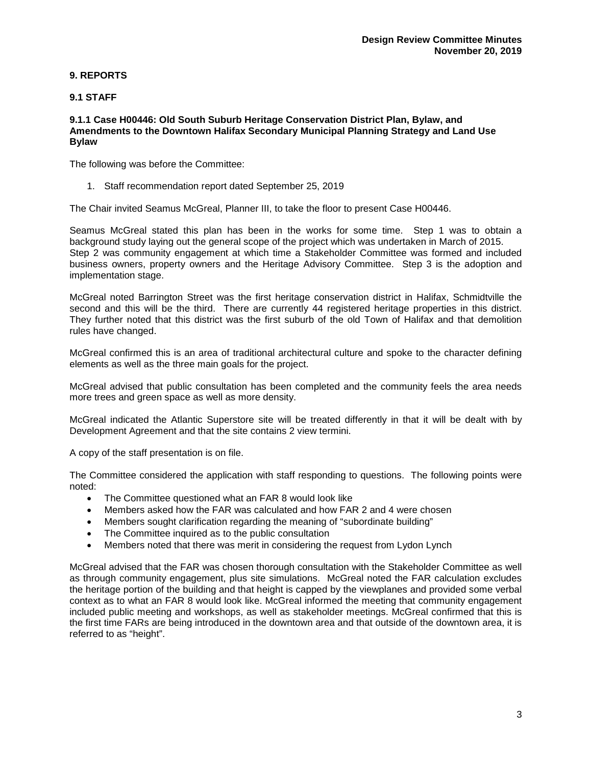## **9. REPORTS**

## **9.1 STAFF**

#### **9.1.1 Case H00446: Old South Suburb Heritage Conservation District Plan, Bylaw, and Amendments to the Downtown Halifax Secondary Municipal Planning Strategy and Land Use Bylaw**

The following was before the Committee:

1. Staff recommendation report dated September 25, 2019

The Chair invited Seamus McGreal, Planner III, to take the floor to present Case H00446.

Seamus McGreal stated this plan has been in the works for some time. Step 1 was to obtain a background study laying out the general scope of the project which was undertaken in March of 2015. Step 2 was community engagement at which time a Stakeholder Committee was formed and included business owners, property owners and the Heritage Advisory Committee. Step 3 is the adoption and implementation stage.

McGreal noted Barrington Street was the first heritage conservation district in Halifax, Schmidtville the second and this will be the third. There are currently 44 registered heritage properties in this district. They further noted that this district was the first suburb of the old Town of Halifax and that demolition rules have changed.

McGreal confirmed this is an area of traditional architectural culture and spoke to the character defining elements as well as the three main goals for the project.

McGreal advised that public consultation has been completed and the community feels the area needs more trees and green space as well as more density.

McGreal indicated the Atlantic Superstore site will be treated differently in that it will be dealt with by Development Agreement and that the site contains 2 view termini.

A copy of the staff presentation is on file.

The Committee considered the application with staff responding to questions. The following points were noted:

- The Committee questioned what an FAR 8 would look like
- Members asked how the FAR was calculated and how FAR 2 and 4 were chosen
- Members sought clarification regarding the meaning of "subordinate building"
- The Committee inquired as to the public consultation
- Members noted that there was merit in considering the request from Lydon Lynch

McGreal advised that the FAR was chosen thorough consultation with the Stakeholder Committee as well as through community engagement, plus site simulations. McGreal noted the FAR calculation excludes the heritage portion of the building and that height is capped by the viewplanes and provided some verbal context as to what an FAR 8 would look like. McGreal informed the meeting that community engagement included public meeting and workshops, as well as stakeholder meetings. McGreal confirmed that this is the first time FARs are being introduced in the downtown area and that outside of the downtown area, it is referred to as "height".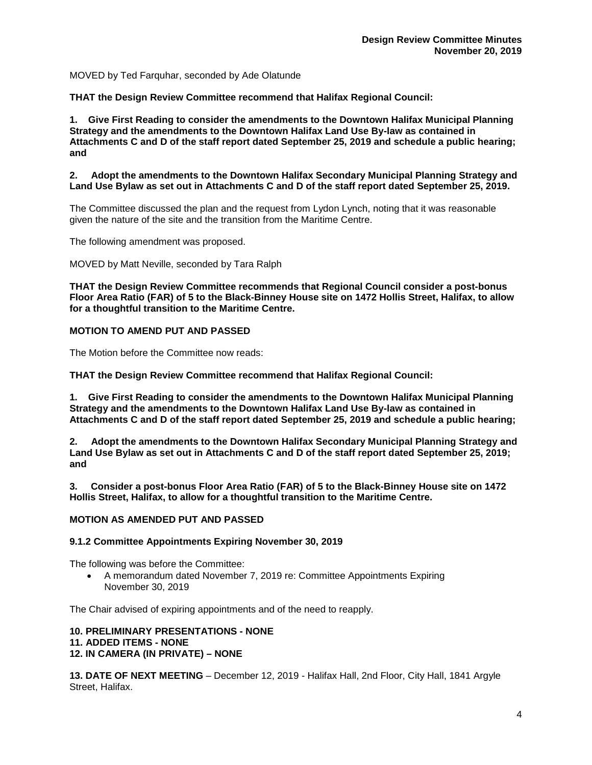MOVED by Ted Farquhar, seconded by Ade Olatunde

**THAT the Design Review Committee recommend that Halifax Regional Council:**

**1. Give First Reading to consider the amendments to the Downtown Halifax Municipal Planning Strategy and the amendments to the Downtown Halifax Land Use By-law as contained in Attachments C and D of the staff report dated September 25, 2019 and schedule a public hearing; and**

**2. Adopt the amendments to the Downtown Halifax Secondary Municipal Planning Strategy and Land Use Bylaw as set out in Attachments C and D of the staff report dated September 25, 2019.**

The Committee discussed the plan and the request from Lydon Lynch, noting that it was reasonable given the nature of the site and the transition from the Maritime Centre.

The following amendment was proposed.

MOVED by Matt Neville, seconded by Tara Ralph

**THAT the Design Review Committee recommends that Regional Council consider a post-bonus Floor Area Ratio (FAR) of 5 to the Black-Binney House site on 1472 Hollis Street, Halifax, to allow for a thoughtful transition to the Maritime Centre.**

#### **MOTION TO AMEND PUT AND PASSED**

The Motion before the Committee now reads:

**THAT the Design Review Committee recommend that Halifax Regional Council:**

**1. Give First Reading to consider the amendments to the Downtown Halifax Municipal Planning Strategy and the amendments to the Downtown Halifax Land Use By-law as contained in Attachments C and D of the staff report dated September 25, 2019 and schedule a public hearing;** 

**2. Adopt the amendments to the Downtown Halifax Secondary Municipal Planning Strategy and Land Use Bylaw as set out in Attachments C and D of the staff report dated September 25, 2019; and**

**3. Consider a post-bonus Floor Area Ratio (FAR) of 5 to the Black-Binney House site on 1472 Hollis Street, Halifax, to allow for a thoughtful transition to the Maritime Centre.**

#### **MOTION AS AMENDED PUT AND PASSED**

#### **9.1.2 Committee Appointments Expiring November 30, 2019**

The following was before the Committee:

• A memorandum dated November 7, 2019 re: Committee Appointments Expiring November 30, 2019

The Chair advised of expiring appointments and of the need to reapply.

#### **10. PRELIMINARY PRESENTATIONS - NONE**

#### **11. ADDED ITEMS - NONE**

**12. IN CAMERA (IN PRIVATE) – NONE**

**13. DATE OF NEXT MEETING** – December 12, 2019 - Halifax Hall, 2nd Floor, City Hall, 1841 Argyle Street, Halifax.